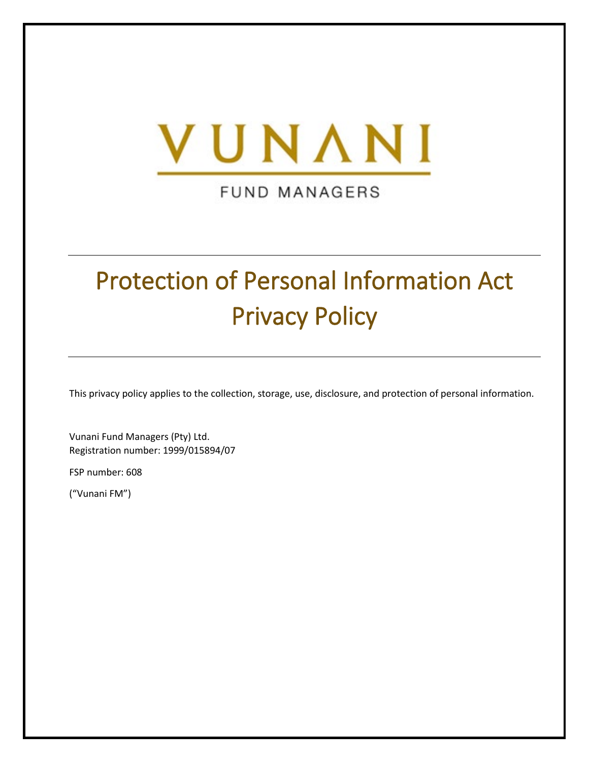

**FUND MANAGERS** 

# Protection of Personal Information Act Privacy Policy

This privacy policy applies to the collection, storage, use, disclosure, and protection of personal information.

Vunani Fund Managers (Pty) Ltd. Registration number: 1999/015894/07

FSP number: 608

("Vunani FM")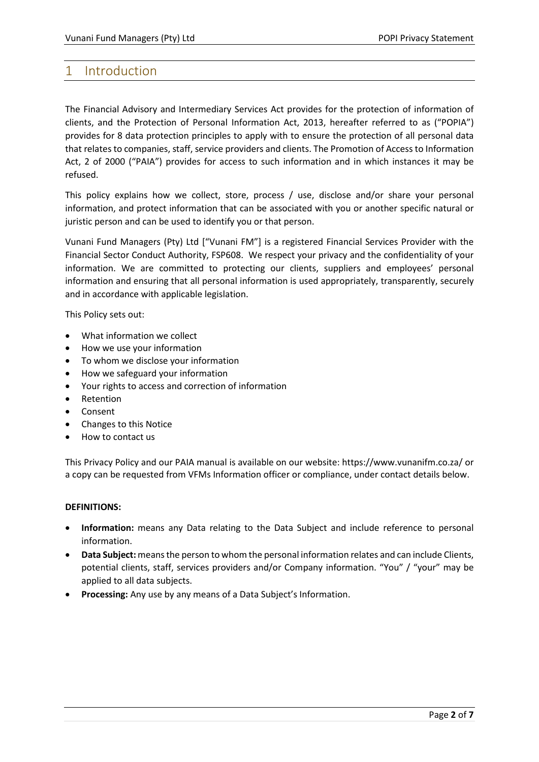## 1 Introduction

The Financial Advisory and Intermediary Services Act provides for the protection of information of clients, and the Protection of Personal Information Act, 2013, hereafter referred to as ("POPIA") provides for 8 data protection principles to apply with to ensure the protection of all personal data that relates to companies, staff, service providers and clients. The Promotion of Access to Information Act, 2 of 2000 ("PAIA") provides for access to such information and in which instances it may be refused.

This policy explains how we collect, store, process / use, disclose and/or share your personal information, and protect information that can be associated with you or another specific natural or juristic person and can be used to identify you or that person.

Vunani Fund Managers (Pty) Ltd ["Vunani FM"] is a registered Financial Services Provider with the Financial Sector Conduct Authority, FSP608. We respect your privacy and the confidentiality of your information. We are committed to protecting our clients, suppliers and employees' personal information and ensuring that all personal information is used appropriately, transparently, securely and in accordance with applicable legislation.

This Policy sets out:

- What information we collect
- How we use your information
- To whom we disclose your information
- How we safeguard your information
- Your rights to access and correction of information
- Retention
- Consent
- Changes to this Notice
- How to contact us

This Privacy Policy and our PAIA manual is available on our website: https://www.vunanifm.co.za/ or a copy can be requested from VFMs Information officer or compliance, under contact details below.

#### **DEFINITIONS:**

- **Information:** means any Data relating to the Data Subject and include reference to personal information.
- **Data Subject:**means the person to whom the personal information relates and can include Clients, potential clients, staff, services providers and/or Company information. "You" / "your" may be applied to all data subjects.
- **Processing:** Any use by any means of a Data Subject's Information.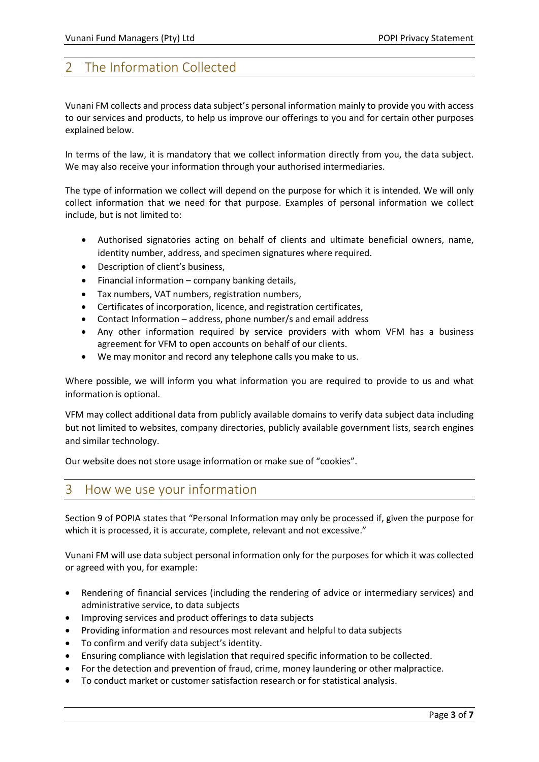# 2 The Information Collected

Vunani FM collects and process data subject's personal information mainly to provide you with access to our services and products, to help us improve our offerings to you and for certain other purposes explained below.

In terms of the law, it is mandatory that we collect information directly from you, the data subject. We may also receive your information through your authorised intermediaries.

The type of information we collect will depend on the purpose for which it is intended. We will only collect information that we need for that purpose. Examples of personal information we collect include, but is not limited to:

- Authorised signatories acting on behalf of clients and ultimate beneficial owners, name, identity number, address, and specimen signatures where required.
- Description of client's business,
- Financial information company banking details,
- Tax numbers, VAT numbers, registration numbers,
- Certificates of incorporation, licence, and registration certificates,
- Contact Information address, phone number/s and email address
- Any other information required by service providers with whom VFM has a business agreement for VFM to open accounts on behalf of our clients.
- We may monitor and record any telephone calls you make to us.

Where possible, we will inform you what information you are required to provide to us and what information is optional.

VFM may collect additional data from publicly available domains to verify data subject data including but not limited to websites, company directories, publicly available government lists, search engines and similar technology.

Our website does not store usage information or make sue of "cookies".

## 3 How we use your information

Section 9 of POPIA states that "Personal Information may only be processed if, given the purpose for which it is processed, it is accurate, complete, relevant and not excessive."

Vunani FM will use data subject personal information only for the purposes for which it was collected or agreed with you, for example:

- Rendering of financial services (including the rendering of advice or intermediary services) and administrative service, to data subjects
- Improving services and product offerings to data subjects
- Providing information and resources most relevant and helpful to data subjects
- To confirm and verify data subject's identity.
- Ensuring compliance with legislation that required specific information to be collected.
- For the detection and prevention of fraud, crime, money laundering or other malpractice.
- To conduct market or customer satisfaction research or for statistical analysis.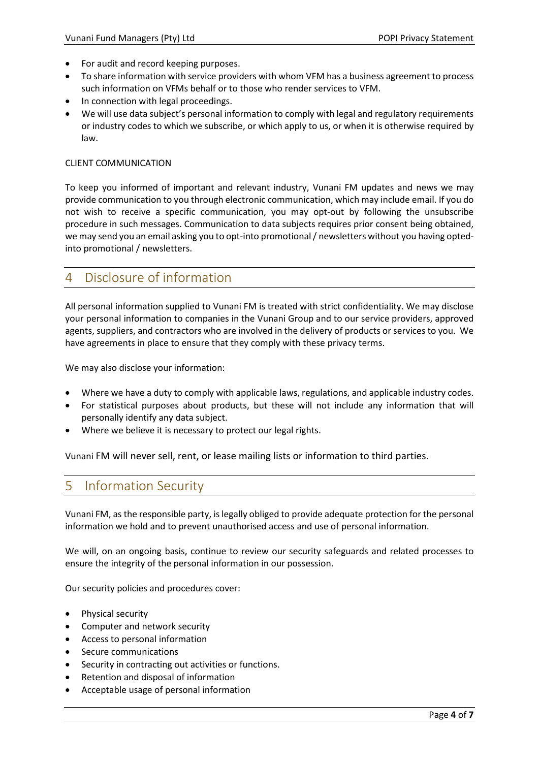- For audit and record keeping purposes.
- To share information with service providers with whom VFM has a business agreement to process such information on VFMs behalf or to those who render services to VFM.
- In connection with legal proceedings.
- We will use data subject's personal information to comply with legal and regulatory requirements or industry codes to which we subscribe, or which apply to us, or when it is otherwise required by law.

#### CLIENT COMMUNICATION

To keep you informed of important and relevant industry, Vunani FM updates and news we may provide communication to you through electronic communication, which may include email. If you do not wish to receive a specific communication, you may opt-out by following the unsubscribe procedure in such messages. Communication to data subjects requires prior consent being obtained, we may send you an email asking you to opt-into promotional / newsletters without you having optedinto promotional / newsletters.

## 4 Disclosure of information

All personal information supplied to Vunani FM is treated with strict confidentiality. We may disclose your personal information to companies in the Vunani Group and to our service providers, approved agents, suppliers, and contractors who are involved in the delivery of products or services to you. We have agreements in place to ensure that they comply with these privacy terms.

We may also disclose your information:

- Where we have a duty to comply with applicable laws, regulations, and applicable industry codes.
- For statistical purposes about products, but these will not include any information that will personally identify any data subject.
- Where we believe it is necessary to protect our legal rights.

Vunani FM will never sell, rent, or lease mailing lists or information to third parties.

# 5 Information Security

Vunani FM, as the responsible party, is legally obliged to provide adequate protection for the personal information we hold and to prevent unauthorised access and use of personal information.

We will, on an ongoing basis, continue to review our security safeguards and related processes to ensure the integrity of the personal information in our possession.

Our security policies and procedures cover:

- Physical security
- Computer and network security
- Access to personal information
- Secure communications
- Security in contracting out activities or functions.
- Retention and disposal of information
- Acceptable usage of personal information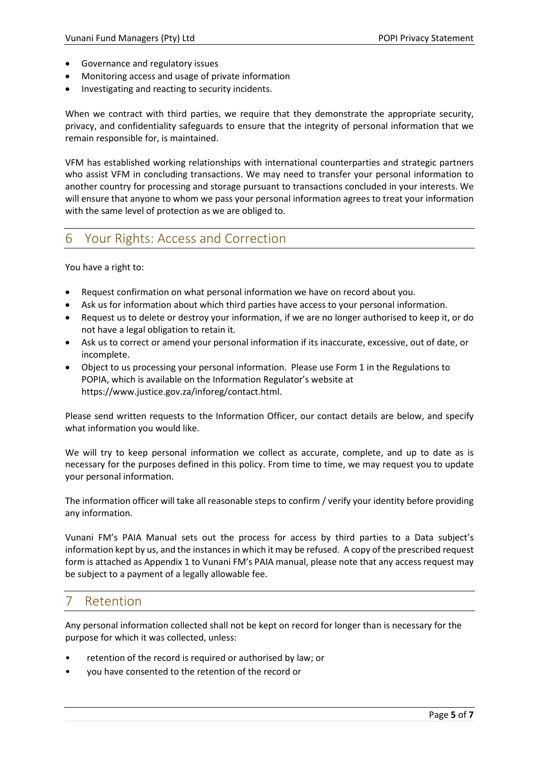- Governance and regulatory issues
- Monitoring access and usage of private information
- Investigating and reacting to security incidents.

When we contract with third parties, we require that they demonstrate the appropriate security, privacy, and confidentiality safeguards to ensure that the integrity of personal information that we remain responsible for, is maintained.

VFM has established working relationships with international counterparties and strategic partners who assist VFM in concluding transactions. We may need to transfer your personal information to another country for processing and storage pursuant to transactions concluded in your interests. We will ensure that anyone to whom we pass your personal information agrees to treat your information with the same level of protection as we are obliged to.

# 6 Your Rights: Access and Correction

You have a right to:

- Request confirmation on what personal information we have on record about you.
- Ask us for information about which third parties have access to your personal information.
- Request us to delete or destroy your information, if we are no longer authorised to keep it, or do not have a legal obligation to retain it.
- Ask us to correct or amend your personal information if its inaccurate, excessive, out of date, or incomplete.
- Object to us processing your personal information. Please use Form 1 in the Regulations to POPIA, which is available on the Information Regulator's website at https://www.justice.gov.za/inforeg/contact.html.

Please send written requests to the Information Officer, our contact details are below, and specify what information you would like.

We will try to keep personal information we collect as accurate, complete, and up to date as is necessary for the purposes defined in this policy. From time to time, we may request you to update your personal information.

The information officer will take all reasonable steps to confirm / verify your identity before providing any information.

Vunani FM's PAIA Manual sets out the process for access by third parties to a Data subject's information kept by us, and the instances in which it may be refused. A copy of the prescribed request form is attached as Appendix 1 to Vunani FM's PAIA manual, please note that any access request may be subject to a payment of a legally allowable fee.

# **Retention**

Any personal information collected shall not be kept on record for longer than is necessary for the purpose for which it was collected, unless:

- retention of the record is required or authorised by law; or
- you have consented to the retention of the record or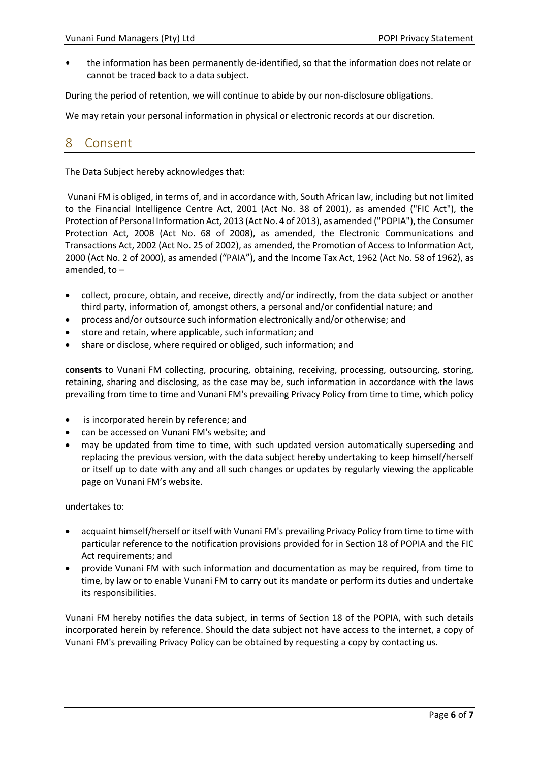• the information has been permanently de-identified, so that the information does not relate or cannot be traced back to a data subject.

During the period of retention, we will continue to abide by our non-disclosure obligations.

We may retain your personal information in physical or electronic records at our discretion.

#### 8 Consent

The Data Subject hereby acknowledges that:

Vunani FM is obliged, in terms of, and in accordance with, South African law, including but not limited to the Financial Intelligence Centre Act, 2001 (Act No. 38 of 2001), as amended ("FIC Act"), the Protection of Personal Information Act, 2013 (Act No. 4 of 2013), as amended ("POPIA"), the Consumer Protection Act, 2008 (Act No. 68 of 2008), as amended, the Electronic Communications and Transactions Act, 2002 (Act No. 25 of 2002), as amended, the Promotion of Access to Information Act, 2000 (Act No. 2 of 2000), as amended ("PAIA"), and the Income Tax Act, 1962 (Act No. 58 of 1962), as amended, to –

- collect, procure, obtain, and receive, directly and/or indirectly, from the data subject or another third party, information of, amongst others, a personal and/or confidential nature; and
- process and/or outsource such information electronically and/or otherwise; and
- store and retain, where applicable, such information; and
- share or disclose, where required or obliged, such information; and

**consents** to Vunani FM collecting, procuring, obtaining, receiving, processing, outsourcing, storing, retaining, sharing and disclosing, as the case may be, such information in accordance with the laws prevailing from time to time and Vunani FM's prevailing Privacy Policy from time to time, which policy

- is incorporated herein by reference; and
- can be accessed on Vunani FM's website; and
- may be updated from time to time, with such updated version automatically superseding and replacing the previous version, with the data subject hereby undertaking to keep himself/herself or itself up to date with any and all such changes or updates by regularly viewing the applicable page on Vunani FM's website.

#### undertakes to:

- acquaint himself/herself or itself with Vunani FM's prevailing Privacy Policy from time to time with particular reference to the notification provisions provided for in Section 18 of POPIA and the FIC Act requirements; and
- provide Vunani FM with such information and documentation as may be required, from time to time, by law or to enable Vunani FM to carry out its mandate or perform its duties and undertake its responsibilities.

Vunani FM hereby notifies the data subject, in terms of Section 18 of the POPIA, with such details incorporated herein by reference. Should the data subject not have access to the internet, a copy of Vunani FM's prevailing Privacy Policy can be obtained by requesting a copy by contacting us.